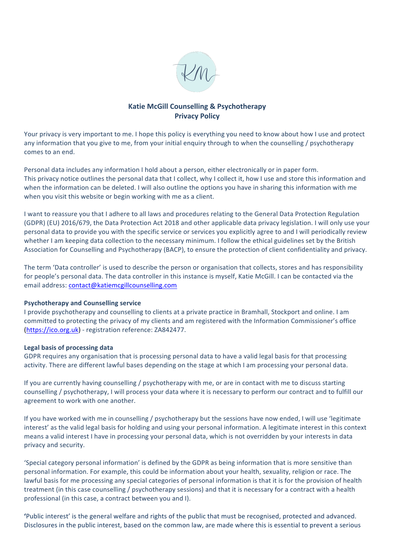

# **Katie McGill Counselling & Psychotherapy Privacy Policy**

Your privacy is very important to me. I hope this policy is everything you need to know about how I use and protect any information that you give to me, from your initial enquiry through to when the counselling / psychotherapy comes to an end.

Personal data includes any information I hold about a person, either electronically or in paper form. This privacy notice outlines the personal data that I collect, why I collect it, how I use and store this information and when the information can be deleted. I will also outline the options you have in sharing this information with me when you visit this website or begin working with me as a client.

I want to reassure you that I adhere to all laws and procedures relating to the General Data Protection Regulation (GDPR) (EU) 2016/679, the Data Protection Act 2018 and other applicable data privacy legislation. I will only use your personal data to provide you with the specific service or services you explicitly agree to and I will periodically review whether I am keeping data collection to the necessary minimum. I follow the ethical guidelines set by the British Association for Counselling and Psychotherapy (BACP), to ensure the protection of client confidentiality and privacy.

The term 'Data controller' is used to describe the person or organisation that collects, stores and has responsibility for people's personal data. The data controller in this instance is myself, Katie McGill. I can be contacted via the email address: contact@katiemcgillcounselling.com

# **Psychotherapy and Counselling service**

I provide psychotherapy and counselling to clients at a private practice in Bramhall, Stockport and online. I am committed to protecting the privacy of my clients and am registered with the Information Commissioner's office (https://ico.org.uk) - registration reference: ZA842477.

### Legal basis of processing data

GDPR requires any organisation that is processing personal data to have a valid legal basis for that processing activity. There are different lawful bases depending on the stage at which I am processing your personal data.

If you are currently having counselling / psychotherapy with me, or are in contact with me to discuss starting counselling / psychotherapy, I will process your data where it is necessary to perform our contract and to fulfill our agreement to work with one another.

If you have worked with me in counselling / psychotherapy but the sessions have now ended, I will use 'legitimate interest' as the valid legal basis for holding and using your personal information. A legitimate interest in this context means a valid interest I have in processing your personal data, which is not overridden by your interests in data privacy and security.

'Special category personal information' is defined by the GDPR as being information that is more sensitive than personal information. For example, this could be information about your health, sexuality, religion or race. The lawful basis for me processing any special categories of personal information is that it is for the provision of health treatment (in this case counselling / psychotherapy sessions) and that it is necessary for a contract with a health professional (in this case, a contract between you and I).

'Public interest' is the general welfare and rights of the public that must be recognised, protected and advanced. Disclosures in the public interest, based on the common law, are made where this is essential to prevent a serious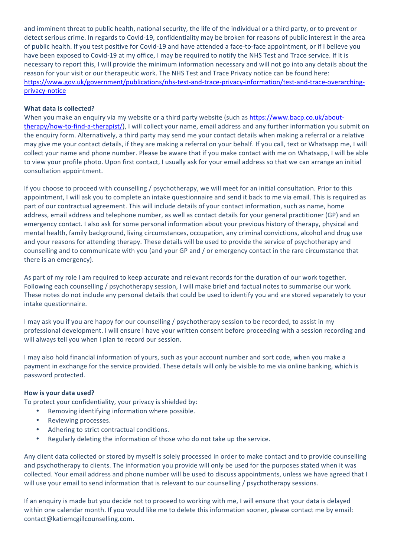and imminent threat to public health, national security, the life of the individual or a third party, or to prevent or detect serious crime. In regards to Covid-19, confidentiality may be broken for reasons of public interest in the area of public health. If you test positive for Covid-19 and have attended a face-to-face appointment, or if I believe you have been exposed to Covid-19 at my office, I may be required to notify the NHS Test and Trace service. If it is necessary to report this, I will provide the minimum information necessary and will not go into any details about the reason for your visit or our therapeutic work. The NHS Test and Trace Privacy notice can be found here: https://www.gov.uk/government/publications/nhs-test-and-trace-privacy-information/test-and-trace-overarchingprivacy-notice

# **What data is collected?**

When you make an enquiry via my website or a third party website (such as https://www.bacp.co.uk/abouttherapy/how-to-find-a-therapist/), I will collect your name, email address and any further information you submit on the enquiry form. Alternatively, a third party may send me your contact details when making a referral or a relative may give me your contact details, if they are making a referral on your behalf. If you call, text or Whatsapp me, I will collect your name and phone number. Please be aware that if you make contact with me on Whatsapp, I will be able to view your profile photo. Upon first contact, I usually ask for your email address so that we can arrange an initial consultation appointment.

If you choose to proceed with counselling / psychotherapy, we will meet for an initial consultation. Prior to this appointment, I will ask you to complete an intake questionnaire and send it back to me via email. This is required as part of our contractual agreement. This will include details of your contact information, such as name, home address, email address and telephone number, as well as contact details for your general practitioner (GP) and an emergency contact. I also ask for some personal information about your previous history of therapy, physical and mental health, family background, living circumstances, occupation, any criminal convictions, alcohol and drug use and your reasons for attending therapy. These details will be used to provide the service of psychotherapy and counselling and to communicate with you (and your GP and / or emergency contact in the rare circumstance that there is an emergency).

As part of my role I am required to keep accurate and relevant records for the duration of our work together. Following each counselling / psychotherapy session, I will make brief and factual notes to summarise our work. These notes do not include any personal details that could be used to identify you and are stored separately to your intake questionnaire.

I may ask you if you are happy for our counselling / psychotherapy session to be recorded, to assist in my professional development. I will ensure I have your written consent before proceeding with a session recording and will always tell you when I plan to record our session.

I may also hold financial information of yours, such as your account number and sort code, when you make a payment in exchange for the service provided. These details will only be visible to me via online banking, which is password protected.

# How is your data used?

To protect your confidentiality, your privacy is shielded by:

- Removing identifying information where possible.
- Reviewing processes.
- Adhering to strict contractual conditions.
- Regularly deleting the information of those who do not take up the service.

Any client data collected or stored by myself is solely processed in order to make contact and to provide counselling and psychotherapy to clients. The information you provide will only be used for the purposes stated when it was collected. Your email address and phone number will be used to discuss appointments, unless we have agreed that I will use your email to send information that is relevant to our counselling / psychotherapy sessions.

If an enquiry is made but you decide not to proceed to working with me, I will ensure that your data is delayed within one calendar month. If you would like me to delete this information sooner, please contact me by email: contact@katiemcgillcounselling.com.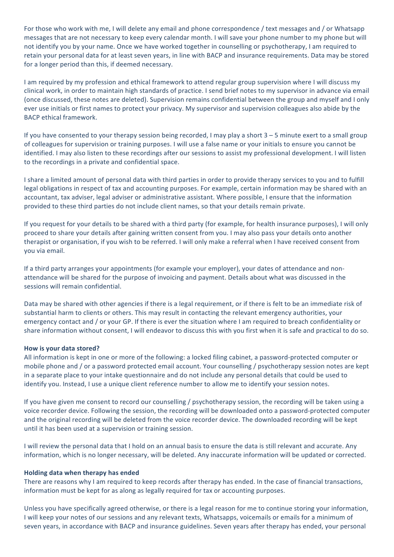For those who work with me, I will delete any email and phone correspondence / text messages and / or Whatsapp messages that are not necessary to keep every calendar month. I will save your phone number to my phone but will not identify you by your name. Once we have worked together in counselling or psychotherapy, I am required to retain your personal data for at least seven years, in line with BACP and insurance requirements. Data may be stored for a longer period than this, if deemed necessary.

I am required by my profession and ethical framework to attend regular group supervision where I will discuss my clinical work, in order to maintain high standards of practice. I send brief notes to my supervisor in advance via email (once discussed, these notes are deleted). Supervision remains confidential between the group and myself and I only ever use initials or first names to protect your privacy. My supervisor and supervision colleagues also abide by the BACP ethical framework. 

If you have consented to your therapy session being recorded, I may play a short  $3 - 5$  minute exert to a small group of colleagues for supervision or training purposes. I will use a false name or your initials to ensure you cannot be identified. I may also listen to these recordings after our sessions to assist my professional development. I will listen to the recordings in a private and confidential space.

I share a limited amount of personal data with third parties in order to provide therapy services to you and to fulfill legal obligations in respect of tax and accounting purposes. For example, certain information may be shared with an accountant, tax adviser, legal adviser or administrative assistant. Where possible, I ensure that the information provided to these third parties do not include client names, so that your details remain private.

If you request for your details to be shared with a third party (for example, for health insurance purposes), I will only proceed to share your details after gaining written consent from you. I may also pass your details onto another therapist or organisation, if you wish to be referred. I will only make a referral when I have received consent from you via email.

If a third party arranges your appointments (for example your employer), your dates of attendance and nonattendance will be shared for the purpose of invoicing and payment. Details about what was discussed in the sessions will remain confidential.

Data may be shared with other agencies if there is a legal requirement, or if there is felt to be an immediate risk of substantial harm to clients or others. This may result in contacting the relevant emergency authorities, your emergency contact and / or your GP. If there is ever the situation where I am required to breach confidentiality or share information without consent, I will endeavor to discuss this with you first when it is safe and practical to do so.

# How is your data stored?

All information is kept in one or more of the following: a locked filing cabinet, a password-protected computer or mobile phone and / or a password protected email account. Your counselling / psychotherapy session notes are kept in a separate place to your intake questionnaire and do not include any personal details that could be used to identify you. Instead, I use a unique client reference number to allow me to identify your session notes.

If you have given me consent to record our counselling / psychotherapy session, the recording will be taken using a voice recorder device. Following the session, the recording will be downloaded onto a password-protected computer and the original recording will be deleted from the voice recorder device. The downloaded recording will be kept until it has been used at a supervision or training session.

I will review the personal data that I hold on an annual basis to ensure the data is still relevant and accurate. Any information, which is no longer necessary, will be deleted. Any inaccurate information will be updated or corrected.

### **Holding data when therapy has ended**

There are reasons why I am required to keep records after therapy has ended. In the case of financial transactions, information must be kept for as along as legally required for tax or accounting purposes.

Unless you have specifically agreed otherwise, or there is a legal reason for me to continue storing your information, I will keep your notes of our sessions and any relevant texts, Whatsapps, voicemails or emails for a minimum of seven years, in accordance with BACP and insurance guidelines. Seven years after therapy has ended, your personal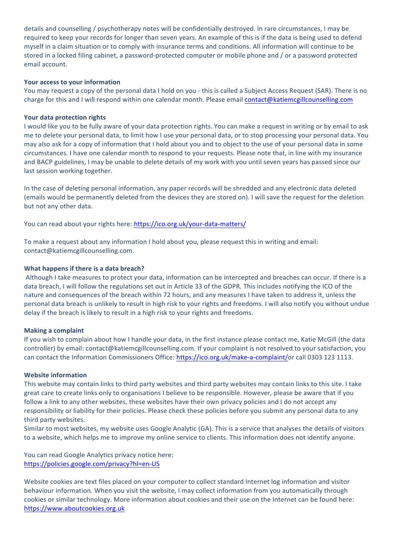details and counselling / psychotherapy notes will be confidentially destroyed. In rare circumstances, I may be required to keep your records for longer than seven years. An example of this is if the data is being used to defend myself in a claim situation or to comply with insurance terms and conditions. All information will continue to be stored in a locked filing cabinet, a password-protected computer or mobile phone and / or a password protected email account.

## Your access to your information

You may request a copy of the personal data I hold on you - this is called a Subject Access Request (SAR). There is no charge for this and I will respond within one calendar month. Please email contact@katiemcgillcounselling.com

## Your data protection rights

I would like you to be fully aware of your data protection rights. You can make a request in writing or by email to ask me to delete your personal data, to limit how I use your personal data, or to stop processing your personal data. You may also ask for a copy of information that I hold about you and to object to the use of your personal data in some circumstances. I have one calendar month to respond to your requests. Please note that, in line with my insurance and BACP guidelines, I may be unable to delete details of my work with you until seven years has passed since our last session working together.

In the case of deleting personal information, any paper records will be shredded and any electronic data deleted (emails would be permanently deleted from the devices they are stored on). I will save the request for the deletion but not any other data.

You can read about your rights here: https://ico.org.uk/your-data-matters/

To make a request about any information I hold about you, please request this in writing and email: contact@katiemcgillcounselling.com.

## **What happens if there is a data breach?**

Although I take measures to protect your data, information can be intercepted and breaches can occur. If there is a data breach, I will follow the regulations set out in Article 33 of the GDPR. This includes notifying the ICO of the nature and consequences of the breach within 72 hours, and any measures I have taken to address it, unless the personal data breach is unlikely to result in high risk to your rights and freedoms. I will also notify you without undue delay if the breach is likely to result in a high risk to your rights and freedoms.

### **Making a complaint**

If you wish to complain about how I handle your data, in the first instance please contact me, Katie McGill (the data controller) by email: contact@katiemcgillcounselling.com. If your complaint is not resolved to your satisfaction, you can contact the Information Commissioners Office: https://ico.org.uk/make-a-complaint/or call 0303 123 1113.

### **Website information**

This website may contain links to third party websites and third party websites may contain links to this site. I take great care to create links only to organisations I believe to be responsible. However, please be aware that if you follow a link to any other websites, these websites have their own privacy policies and I do not accept any responsibility or liability for their policies. Please check these policies before you submit any personal data to any third party websites.

Similar to most websites, my website uses Google Analytic (GA). This is a service that analyses the details of visitors to a website, which helps me to improve my online service to clients. This information does not identify anyone.

You can read Google Analytics privacy notice here: https://policies.google.com/privacy?hl=en-US

Website cookies are text files placed on your computer to collect standard Internet log information and visitor behaviour information. When you visit the website, I may collect information from you automatically through cookies or similar technology. More information about cookies and their use on the Internet can be found here: https://www.aboutcookies.org.uk